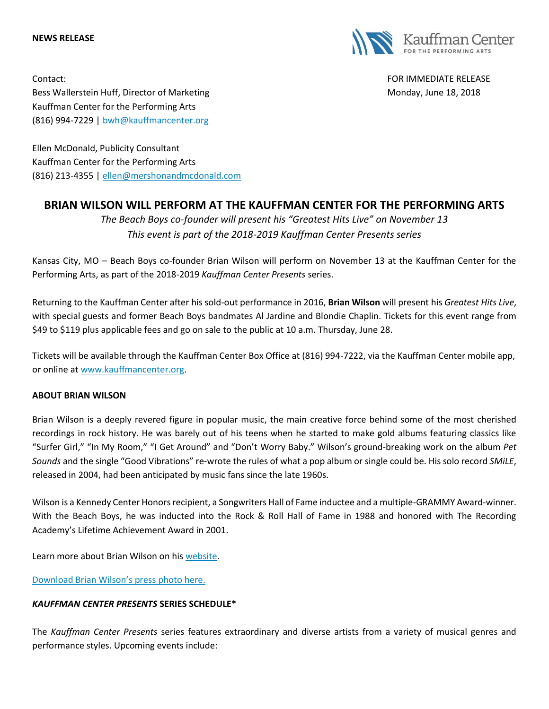#### **NEWS RELEASE**



Contact: FOR IMMEDIATE RELEASE Bess Wallerstein Huff, Director of Marketing Monday, June 18, 2018 Kauffman Center for the Performing Arts (816) 994-7229 | [bwh@kauffmancenter.org](mailto:bwh@kauffmancenter.org)

Ellen McDonald, Publicity Consultant Kauffman Center for the Performing Arts (816) 213-4355 | [ellen@mershonandmcdonald.com](mailto:ellen@mershonandmcdonald.com)

# **BRIAN WILSON WILL PERFORM AT THE KAUFFMAN CENTER FOR THE PERFORMING ARTS**

*The Beach Boys co-founder will present his "Greatest Hits Live" on November 13 This event is part of the 2018-2019 Kauffman Center Presents series*

Kansas City, MO – Beach Boys co-founder Brian Wilson will perform on November 13 at the Kauffman Center for the Performing Arts, as part of the 2018-2019 *Kauffman Center Presents* series.

Returning to the Kauffman Center after his sold-out performance in 2016, **Brian Wilson** will present his *Greatest Hits Live*, with special guests and former Beach Boys bandmates Al Jardine and Blondie Chaplin. Tickets for this event range from \$49 to \$119 plus applicable fees and go on sale to the public at 10 a.m. Thursday, June 28.

Tickets will be available through the Kauffman Center Box Office at (816) 994-7222, via the Kauffman Center mobile app, or online at [www.kauffmancenter.org.](http://www.kauffmancenter.org/)

# **ABOUT BRIAN WILSON**

Brian Wilson is a deeply revered figure in popular music, the main creative force behind some of the most cherished recordings in rock history. He was barely out of his teens when he started to make gold albums featuring classics like "Surfer Girl," "In My Room," "I Get Around" and "Don't Worry Baby." Wilson's ground-breaking work on the album *Pet Sounds* and the single "Good Vibrations" re-wrote the rules of what a pop album or single could be. His solo record *SMiLE*, released in 2004, had been anticipated by music fans since the late 1960s.

Wilson is a Kennedy Center Honors recipient, a Songwriters Hall of Fame inductee and a multiple-GRAMMY Award-winner. With the Beach Boys, he was inducted into the Rock & Roll Hall of Fame in 1988 and honored with The Recording Academy's Lifetime Achievement Award in 2001.

Learn more about Brian Wilson on his [website.](http://www.brianwilson.com/)

Download [Brian Wilson's](https://www.flickr.com/photos/kauffmancenter/41777488145/in/album-72157666886914008/) press photo here.

# *KAUFFMAN CENTER PRESENTS* **SERIES SCHEDULE\***

The *Kauffman Center Presents* series features extraordinary and diverse artists from a variety of musical genres and performance styles. Upcoming events include: